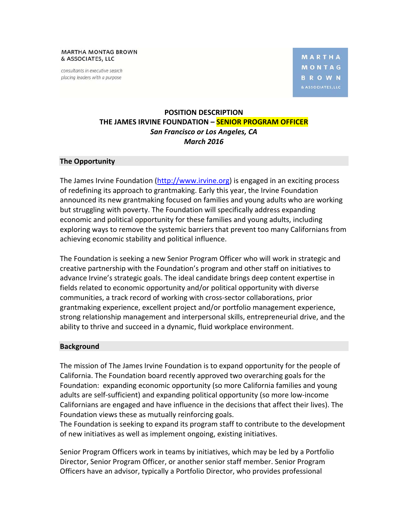**MARTHA MONTAG BROWN** & ASSOCIATES, LLC

consultants in executive search placing leaders with a purpose

**MARTHA** MONTAG **BROWN** 

# **POSITION DESCRIPTION THE JAMES IRVINE FOUNDATION – SENIOR PROGRAM OFFICER**  *San Francisco or Los Angeles, CA March 2016*

### **The Opportunity**

The James Irvine Foundation (http://www.irvine.org) is engaged in an exciting process of redefining its approach to grantmaking. Early this year, the Irvine Foundation announced its new grantmaking focused on families and young adults who are working but struggling with poverty. The Foundation will specifically address expanding economic and political opportunity for these families and young adults, including exploring ways to remove the systemic barriers that prevent too many Californians from achieving economic stability and political influence.

The Foundation is seeking a new Senior Program Officer who will work in strategic and creative partnership with the Foundation's program and other staff on initiatives to advance Irvine's strategic goals. The ideal candidate brings deep content expertise in fields related to economic opportunity and/or political opportunity with diverse communities, a track record of working with cross‐sector collaborations, prior grantmaking experience, excellent project and/or portfolio management experience, strong relationship management and interpersonal skills, entrepreneurial drive, and the ability to thrive and succeed in a dynamic, fluid workplace environment.

#### **Background**

The mission of The James Irvine Foundation is to expand opportunity for the people of California. The Foundation board recently approved two overarching goals for the Foundation: expanding economic opportunity (so more California families and young adults are self‐sufficient) and expanding political opportunity (so more low‐income Californians are engaged and have influence in the decisions that affect their lives). The Foundation views these as mutually reinforcing goals.

The Foundation is seeking to expand its program staff to contribute to the development of new initiatives as well as implement ongoing, existing initiatives.

Senior Program Officers work in teams by initiatives, which may be led by a Portfolio Director, Senior Program Officer, or another senior staff member. Senior Program Officers have an advisor, typically a Portfolio Director, who provides professional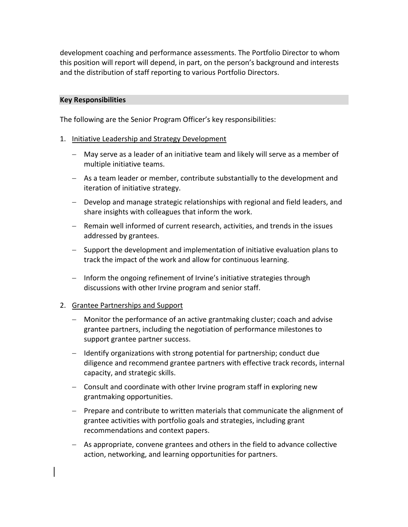development coaching and performance assessments. The Portfolio Director to whom this position will report will depend, in part, on the person's background and interests and the distribution of staff reporting to various Portfolio Directors.

### **Key Responsibilities**

The following are the Senior Program Officer's key responsibilities:

### 1. Initiative Leadership and Strategy Development

- May serve as a leader of an initiative team and likely will serve as a member of multiple initiative teams.
- As a team leader or member, contribute substantially to the development and iteration of initiative strategy.
- Develop and manage strategic relationships with regional and field leaders, and share insights with colleagues that inform the work.
- Remain well informed of current research, activities, and trends in the issues addressed by grantees.
- Support the development and implementation of initiative evaluation plans to track the impact of the work and allow for continuous learning.
- Inform the ongoing refinement of Irvine's initiative strategies through discussions with other Irvine program and senior staff.

### 2. Grantee Partnerships and Support

- Monitor the performance of an active grantmaking cluster; coach and advise grantee partners, including the negotiation of performance milestones to support grantee partner success.
- $-$  Identify organizations with strong potential for partnership; conduct due diligence and recommend grantee partners with effective track records, internal capacity, and strategic skills.
- Consult and coordinate with other Irvine program staff in exploring new grantmaking opportunities.
- Prepare and contribute to written materials that communicate the alignment of grantee activities with portfolio goals and strategies, including grant recommendations and context papers.
- As appropriate, convene grantees and others in the field to advance collective action, networking, and learning opportunities for partners.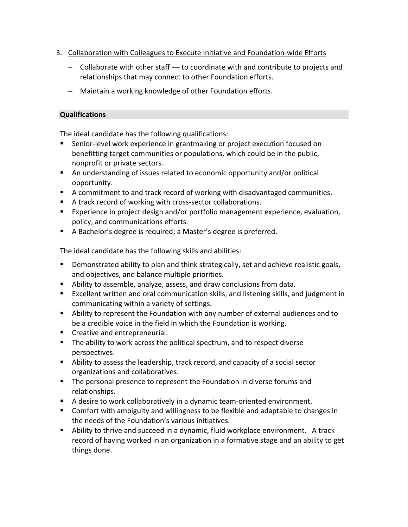- 3. Collaboration with Colleagues to Execute Initiative and Foundation‐wide Efforts
	- $-$  Collaborate with other staff  $-$  to coordinate with and contribute to projects and relationships that may connect to other Foundation efforts.
	- Maintain a working knowledge of other Foundation efforts.

## **Qualifications**

The ideal candidate has the following qualifications:

- Senior-level work experience in grantmaking or project execution focused on benefitting target communities or populations, which could be in the public, nonprofit or private sectors.
- An understanding of issues related to economic opportunity and/or political opportunity.
- A commitment to and track record of working with disadvantaged communities.
- A track record of working with cross-sector collaborations.
- **Experience in project design and/or portfolio management experience, evaluation,** policy, and communications efforts.
- A Bachelor's degree is required; a Master's degree is preferred.

The ideal candidate has the following skills and abilities:

- **Demonstrated ability to plan and think strategically, set and achieve realistic goals,** and objectives, and balance multiple priorities.
- Ability to assemble, analyze, assess, and draw conclusions from data.
- Excellent written and oral communication skills, and listening skills, and judgment in communicating within a variety of settings.
- Ability to represent the Foundation with any number of external audiences and to be a credible voice in the field in which the Foundation is working.
- **Creative and entrepreneurial.**
- The ability to work across the political spectrum, and to respect diverse perspectives.
- Ability to assess the leadership, track record, and capacity of a social sector organizations and collaboratives.
- The personal presence to represent the Foundation in diverse forums and relationships.
- A desire to work collaboratively in a dynamic team-oriented environment.
- Comfort with ambiguity and willingness to be flexible and adaptable to changes in the needs of the Foundation's various initiatives.
- Ability to thrive and succeed in a dynamic, fluid workplace environment. A track record of having worked in an organization in a formative stage and an ability to get things done.